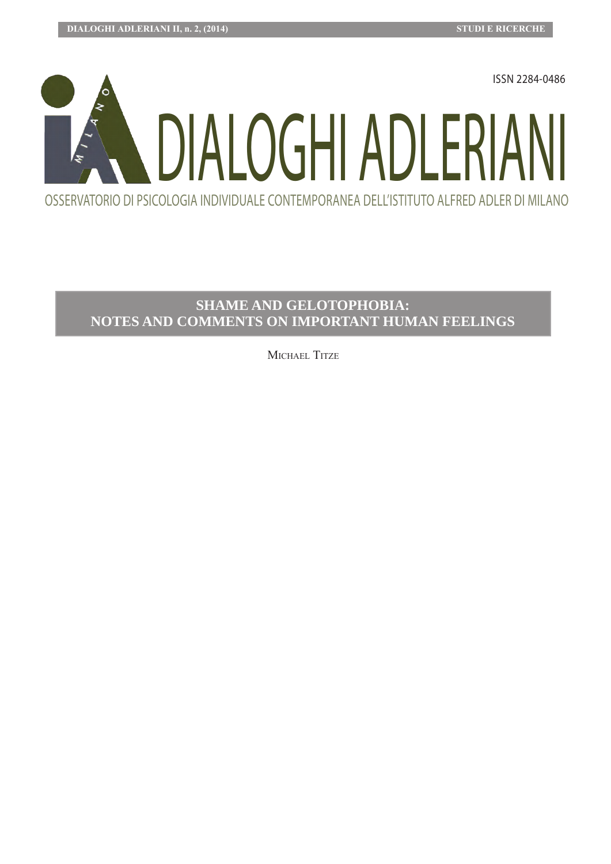

# **SHAME AND GELOTOPHOBIA: NOTES AND COMMENTS ON IMPORTANT HUMAN FEELINGS**

MICHAEL TITZE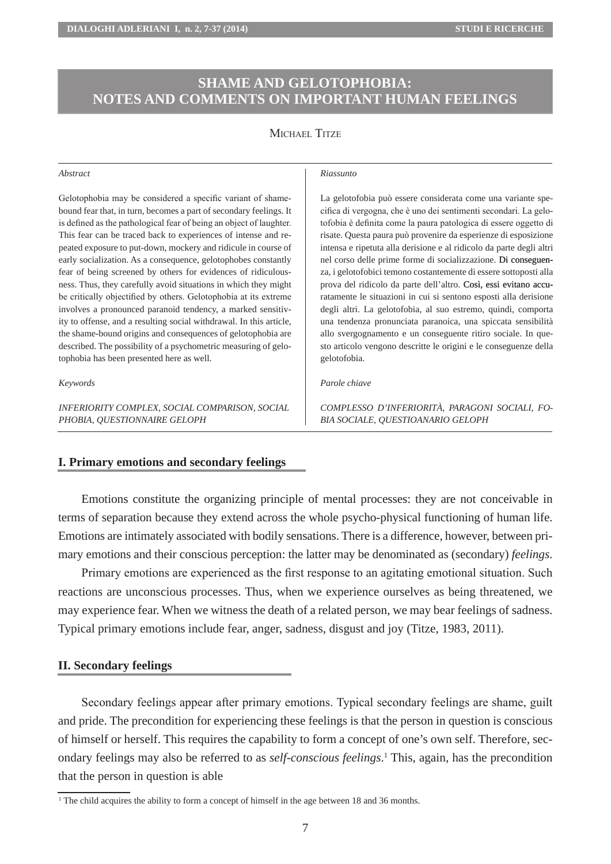# **SHAME AND GELOTOPHOBIA: NOTES AND COMMENTS ON IMPORTANT HUMAN FEELINGS**

# MICHAEL TITZE

#### *Abstract*

Gelotophobia may be considered a specific variant of shamebound fear that, in turn, becomes a part of secondary feelings. It is defined as the pathological fear of being an object of laughter. This fear can be traced back to experiences of intense and repeated exposure to put-down, mockery and ridicule in course of early socialization. As a consequence, gelotophobes constantly fear of being screened by others for evidences of ridiculousness. Thus, they carefully avoid situations in which they might be critically objectified by others. Gelotophobia at its extreme involves a pronounced paranoid tendency, a marked sensitivity to offense, and a resulting social withdrawal. In this article, the shame-bound origins and consequences of gelotophobia are described. The possibility of a psychometric measuring of gelotophobia has been presented here as well.

#### *Keywords*

*INFERIORITY COMPLEX, SOCIAL COMPARISON, SOCIAL PHOBIA, QUESTIONNAIRE GELOPH*

#### *Riassunto*

La gelotofobia può essere considerata come una variante specifica di vergogna, che è uno dei sentimenti secondari. La gelotofobia è definita come la paura patologica di essere oggetto di risate. Questa paura può provenire da esperienze di esposizione intensa e ripetuta alla derisione e al ridicolo da parte degli altri nel corso delle prime forme di socializzazione. �Di conseguenza, i gelotofobici temono costantemente di essere sottoposti alla prova del ridicolo da parte dell'altro. Così, essi evitano accuratamente le situazioni in cui si sentono esposti alla derisione degli altri. La gelotofobia, al suo estremo, quindi, comporta una tendenza pronunciata paranoica, una spiccata sensibilità allo svergognamento e un conseguente ritiro sociale. In questo articolo vengono descritte le origini e le conseguenze della gelotofobia.

#### *Parole chiave*

*COMPLESSO D'INFERIORITÀ, PARAGONI SOCIALI, FO-BIA SOCIALE, QUESTIOANARIO GELOPH*

### **I. Primary emotions and secondary feelings**

Emotions constitute the organizing principle of mental processes: they are not conceivable in terms of separation because they extend across the whole psycho-physical functioning of human life. Emotions are intimately associated with bodily sensations. There is a difference, however, between primary emotions and their conscious perception: the latter may be denominated as (secondary) *feelings*.

Primary emotions are experienced as the first response to an agitating emotional situation. Such reactions are unconscious processes. Thus, when we experience ourselves as being threatened, we may experience fear. When we witness the death of a related person, we may bear feelings of sadness. Typical primary emotions include fear, anger, sadness, disgust and joy (Titze, 1983, 2011).

#### **II. Secondary feelings**

Secondary feelings appear after primary emotions. Typical secondary feelings are shame, guilt and pride. The precondition for experiencing these feelings is that the person in question is conscious of himself or herself. This requires the capability to form a concept of one's own self. Therefore, secondary feelings may also be referred to as *self-conscious feelings*. 1 This, again, has the precondition that the person in question is able

<sup>1</sup> The child acquires the ability to form a concept of himself in the age between 18 and 36 months.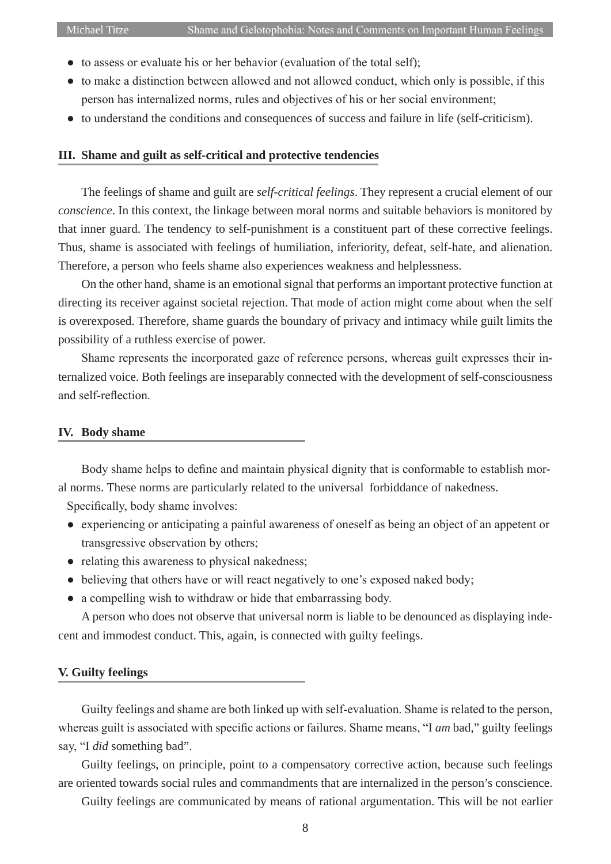- to assess or evaluate his or her behavior (evaluation of the total self);
- to make a distinction between allowed and not allowed conduct, which only is possible, if this person has internalized norms, rules and objectives of his or her social environment;
- to understand the conditions and consequences of success and failure in life (self-criticism).

# **III. Shame and guilt as self-critical and protective tendencies**

The feelings of shame and guilt are *self-critical feelings*. They represent a crucial element of our *conscience*. In this context, the linkage between moral norms and suitable behaviors is monitored by that inner guard. The tendency to self-punishment is a constituent part of these corrective feelings. Thus, shame is associated with feelings of humiliation, inferiority, defeat, self-hate, and alienation. Therefore, a person who feels shame also experiences weakness and helplessness.

On the other hand, shame is an emotional signal that performs an important protective function at directing its receiver against societal rejection. That mode of action might come about when the self is overexposed. Therefore, shame guards the boundary of privacy and intimacy while guilt limits the possibility of a ruthless exercise of power.

Shame represents the incorporated gaze of reference persons, whereas guilt expresses their internalized voice. Both feelings are inseparably connected with the development of self-consciousness and self-reflection.

# **IV. Body shame**

Body shame helps to define and maintain physical dignity that is conformable to establish moral norms. These norms are particularly related to the universal forbiddance of nakedness.

Specifically, body shame involves:

- experiencing or anticipating a painful awareness of oneself as being an object of an appetent or transgressive observation by others;
- relating this awareness to physical nakedness;
- believing that others have or will react negatively to one's exposed naked body;
- a compelling wish to withdraw or hide that embarrassing body.

A person who does not observe that universal norm is liable to be denounced as displaying indecent and immodest conduct. This, again, is connected with guilty feelings.

### **V. Guilty feelings**

Guilty feelings and shame are both linked up with self-evaluation. Shame is related to the person, whereas guilt is associated with specific actions or failures. Shame means, "I *am* bad," guilty feelings say, "I *did* something bad".

Guilty feelings, on principle, point to a compensatory corrective action, because such feelings are oriented towards social rules and commandments that are internalized in the person's conscience.

Guilty feelings are communicated by means of rational argumentation. This will be not earlier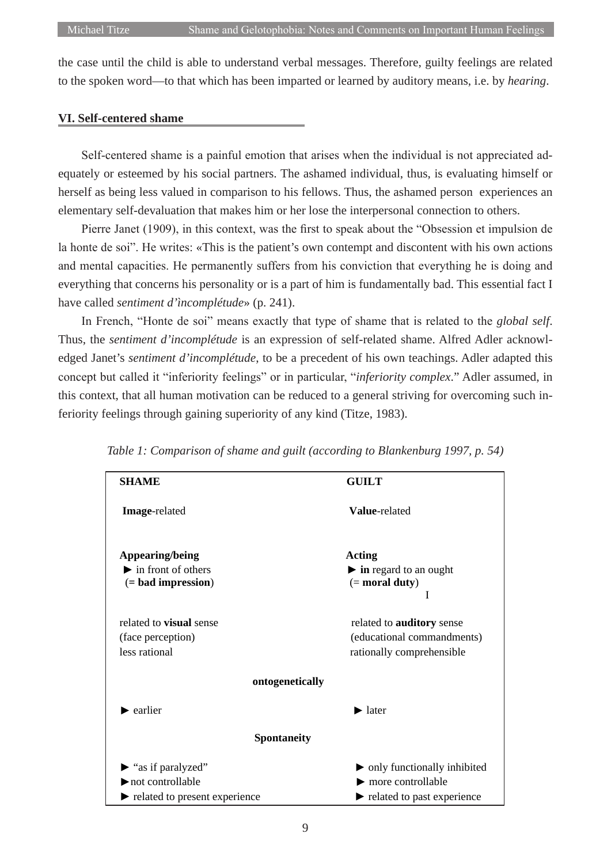the case until the child is able to understand verbal messages. Therefore, guilty feelings are related to the spoken word—to that which has been imparted or learned by auditory means, i.e. by *hearing*.

### **VI. Self-centered shame**

Self-centered shame is a painful emotion that arises when the individual is not appreciated adequately or esteemed by his social partners. The ashamed individual, thus, is evaluating himself or herself as being less valued in comparison to his fellows. Thus, the ashamed person experiences an elementary self-devaluation that makes him or her lose the interpersonal connection to others.

Pierre Janet (1909), in this context, was the first to speak about the "Obsession et impulsion de la honte de soi". He writes: «This is the patient's own contempt and discontent with his own actions and mental capacities. He permanently suffers from his conviction that everything he is doing and everything that concerns his personality or is a part of him is fundamentally bad. This essential fact I have called *sentiment d'ìncomplétude*» (p. 241).

In French, "Honte de soi" means exactly that type of shame that is related to the *global self*. Thus, the *sentiment d'incomplétude* is an expression of self-related shame. Alfred Adler acknowledged Janet's *sentiment d'incomplétude*, to be a precedent of his own teachings. Adler adapted this concept but called it "inferiority feelings" or in particular, "*inferiority complex*." Adler assumed, in this context, that all human motivation can be reduced to a general striving for overcoming such inferiority feelings through gaining superiority of any kind (Titze, 1983).

| <b>SHAME</b>                                                                                                       | <b>GUILT</b>                                                                                         |
|--------------------------------------------------------------------------------------------------------------------|------------------------------------------------------------------------------------------------------|
| Image-related                                                                                                      | Value-related                                                                                        |
| Appearing/being<br>$\blacktriangleright$ in front of others<br>$(=$ bad impression $)$                             | Acting<br>$\triangleright$ in regard to an ought<br>$(=$ moral duty)<br>I                            |
| related to <b>visual</b> sense<br>(face perception)<br>less rational                                               | related to auditory sense<br>(educational commandments)<br>rationally comprehensible                 |
| ontogenetically                                                                                                    |                                                                                                      |
| $\blacktriangleright$ earlier                                                                                      | $\blacktriangleright$ later                                                                          |
| <b>Spontaneity</b>                                                                                                 |                                                                                                      |
| $\blacktriangleright$ "as if paralyzed"<br>$\blacktriangleright$ not controllable<br>related to present experience | only functionally inhibited<br>more controllable<br>$\blacktriangleright$ related to past experience |

*Table 1: Comparison of shame and guilt (according to Blankenburg 1997, p. 54)*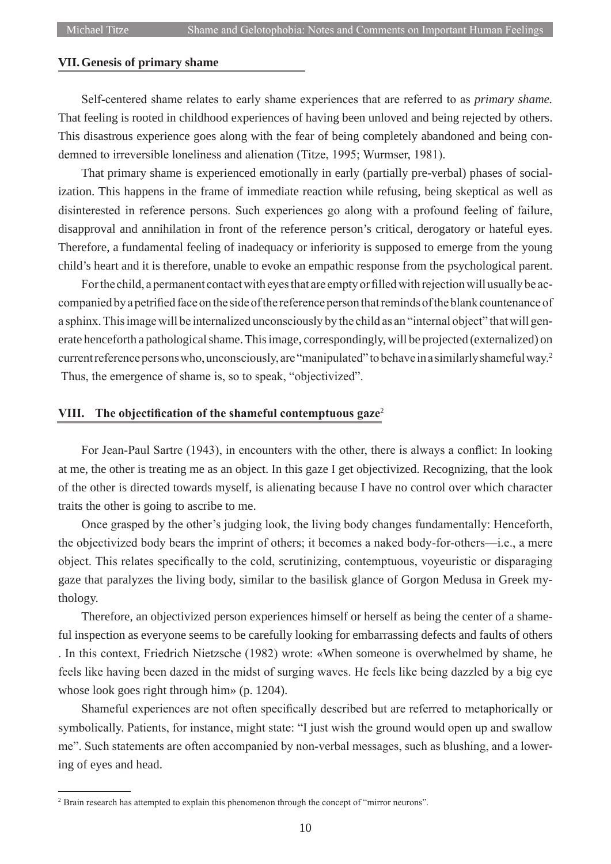# **VII.Genesis of primary shame**

Self-centered shame relates to early shame experiences that are referred to as *primary shame.* That feeling is rooted in childhood experiences of having been unloved and being rejected by others. This disastrous experience goes along with the fear of being completely abandoned and being condemned to irreversible loneliness and alienation (Titze, 1995; Wurmser, 1981).

That primary shame is experienced emotionally in early (partially pre-verbal) phases of socialization. This happens in the frame of immediate reaction while refusing, being skeptical as well as disinterested in reference persons. Such experiences go along with a profound feeling of failure, disapproval and annihilation in front of the reference person's critical, derogatory or hateful eyes. Therefore, a fundamental feeling of inadequacy or inferiority is supposed to emerge from the young child's heart and it is therefore, unable to evoke an empathic response from the psychological parent.

For the child, a permanent contact with eyes that are empty or filled with rejection will usually be accompanied by a petrified face on the side of the reference person that reminds of the blank countenance of a sphinx. This image will be internalized unconsciously by the child as an "internal object" that will generate henceforth a pathological shame. This image, correspondingly, will be projected (externalized) on current reference persons who, unconsciously, are "manipulated" to behave in a similarly shameful way.<sup>2</sup> Thus, the emergence of shame is, so to speak, "objectivized".

## **VIII. The objectification of the shameful contemptuous gaze**<sup>2</sup>

For Jean-Paul Sartre (1943), in encounters with the other, there is always a conflict: In looking at me, the other is treating me as an object. In this gaze I get objectivized. Recognizing, that the look of the other is directed towards myself, is alienating because I have no control over which character traits the other is going to ascribe to me.

Once grasped by the other's judging look, the living body changes fundamentally: Henceforth, the objectivized body bears the imprint of others; it becomes a naked body-for-others—i.e., a mere object. This relates specifically to the cold, scrutinizing, contemptuous, voyeuristic or disparaging gaze that paralyzes the living body, similar to the basilisk glance of Gorgon Medusa in Greek mythology.

Therefore, an objectivized person experiences himself or herself as being the center of a shameful inspection as everyone seems to be carefully looking for embarrassing defects and faults of others . In this context, Friedrich Nietzsche (1982) wrote: «When someone is overwhelmed by shame, he

feels like having been dazed in the midst of surging waves. He feels like being dazzled by a big eye whose look goes right through him» (p. 1204).

Shameful experiences are not often specifically described but are referred to metaphorically or symbolically. Patients, for instance, might state: "I just wish the ground would open up and swallow me". Such statements are often accompanied by non-verbal messages, such as blushing, and a lowering of eyes and head.

<sup>&</sup>lt;sup>2</sup> Brain research has attempted to explain this phenomenon through the concept of "mirror neurons".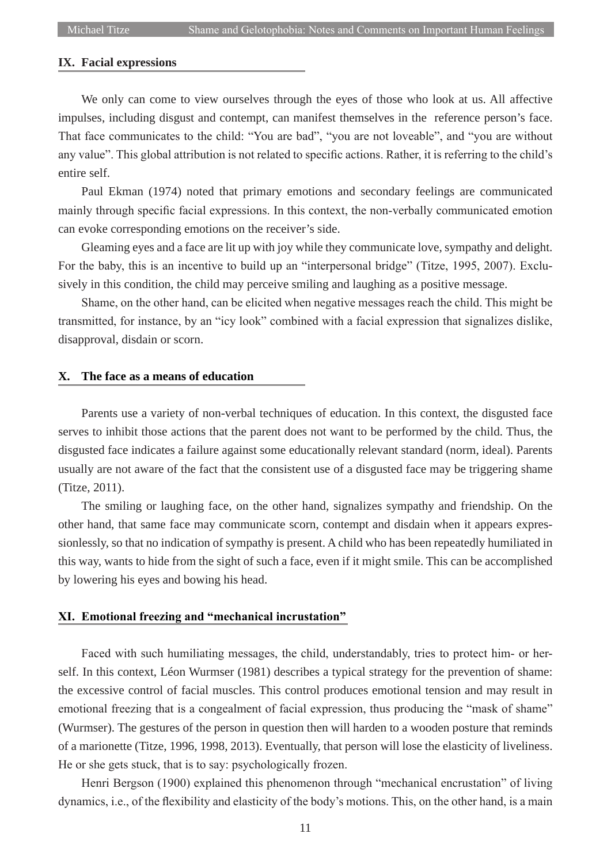### **IX. Facial expressions**

We only can come to view ourselves through the eyes of those who look at us. All affective impulses, including disgust and contempt, can manifest themselves in the reference person's face. That face communicates to the child: "You are bad", "you are not loveable", and "you are without any value". This global attribution is not related to specific actions. Rather, it is referring to the child's entire self.

Paul Ekman (1974) noted that primary emotions and secondary feelings are communicated mainly through specific facial expressions. In this context, the non-verbally communicated emotion can evoke corresponding emotions on the receiver's side.

Gleaming eyes and a face are lit up with joy while they communicate love, sympathy and delight. For the baby, this is an incentive to build up an "interpersonal bridge" (Titze, 1995, 2007). Exclusively in this condition, the child may perceive smiling and laughing as a positive message.

Shame, on the other hand, can be elicited when negative messages reach the child. This might be transmitted, for instance, by an "icy look" combined with a facial expression that signalizes dislike, disapproval, disdain or scorn.

# **X. The face as a means of education**

Parents use a variety of non-verbal techniques of education. In this context, the disgusted face serves to inhibit those actions that the parent does not want to be performed by the child. Thus, the disgusted face indicates a failure against some educationally relevant standard (norm, ideal). Parents usually are not aware of the fact that the consistent use of a disgusted face may be triggering shame (Titze, 2011).

The smiling or laughing face, on the other hand, signalizes sympathy and friendship. On the other hand, that same face may communicate scorn, contempt and disdain when it appears expressionlessly, so that no indication of sympathy is present. A child who has been repeatedly humiliated in this way, wants to hide from the sight of such a face, even if it might smile. This can be accomplished by lowering his eyes and bowing his head.

# **XI. Emotional freezing and "mechanical incrustation"**

Faced with such humiliating messages, the child, understandably, tries to protect him- or herself. In this context, Léon Wurmser (1981) describes a typical strategy for the prevention of shame: the excessive control of facial muscles. This control produces emotional tension and may result in emotional freezing that is a congealment of facial expression, thus producing the "mask of shame" (Wurmser). The gestures of the person in question then will harden to a wooden posture that reminds of a marionette (Titze, 1996, 1998, 2013). Eventually, that person will lose the elasticity of liveliness. He or she gets stuck, that is to say: psychologically frozen.

Henri Bergson (1900) explained this phenomenon through "mechanical encrustation" of living dynamics, i.e., of the flexibility and elasticity of the body's motions. This, on the other hand, is a main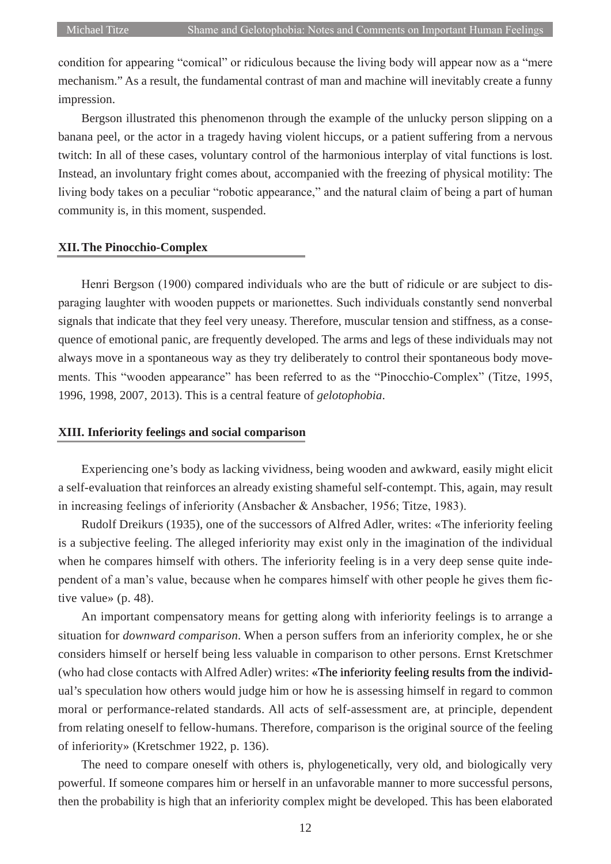condition for appearing "comical" or ridiculous because the living body will appear now as a "mere mechanism." As a result, the fundamental contrast of man and machine will inevitably create a funny impression.

Bergson illustrated this phenomenon through the example of the unlucky person slipping on a banana peel, or the actor in a tragedy having violent hiccups, or a patient suffering from a nervous twitch: In all of these cases, voluntary control of the harmonious interplay of vital functions is lost. Instead, an involuntary fright comes about, accompanied with the freezing of physical motility: The living body takes on a peculiar "robotic appearance," and the natural claim of being a part of human community is, in this moment, suspended.

#### **XII.The Pinocchio-Complex**

Henri Bergson (1900) compared individuals who are the butt of ridicule or are subject to disparaging laughter with wooden puppets or marionettes. Such individuals constantly send nonverbal signals that indicate that they feel very uneasy. Therefore, muscular tension and stiffness, as a consequence of emotional panic, are frequently developed. The arms and legs of these individuals may not always move in a spontaneous way as they try deliberately to control their spontaneous body movements. This "wooden appearance" has been referred to as the "Pinocchio-Complex" (Titze, 1995, 1996, 1998, 2007, 2013). This is a central feature of *gelotophobia*.

# **XIII. Inferiority feelings and social comparison**

Experiencing one's body as lacking vividness, being wooden and awkward, easily might elicit a self-evaluation that reinforces an already existing shameful self-contempt. This, again, may result in increasing feelings of inferiority (Ansbacher & Ansbacher, 1956; Titze, 1983).

Rudolf Dreikurs (1935), one of the successors of Alfred Adler, writes: «The inferiority feeling is a subjective feeling. The alleged inferiority may exist only in the imagination of the individual when he compares himself with others. The inferiority feeling is in a very deep sense quite independent of a man's value, because when he compares himself with other people he gives them fictive value» (p. 48).

An important compensatory means for getting along with inferiority feelings is to arrange a situation for *downward comparison*. When a person suffers from an inferiority complex, he or she considers himself or herself being less valuable in comparison to other persons. Ernst Kretschmer (who had close contacts with Alfred Adler) writes: «The inferiority feeling results from the individual's speculation how others would judge him or how he is assessing himself in regard to common moral or performance-related standards. All acts of self-assessment are, at principle, dependent from relating oneself to fellow-humans. Therefore, comparison is the original source of the feeling of inferiority» (Kretschmer 1922, p. 136).

The need to compare oneself with others is, phylogenetically, very old, and biologically very powerful. If someone compares him or herself in an unfavorable manner to more successful persons, then the probability is high that an inferiority complex might be developed. This has been elaborated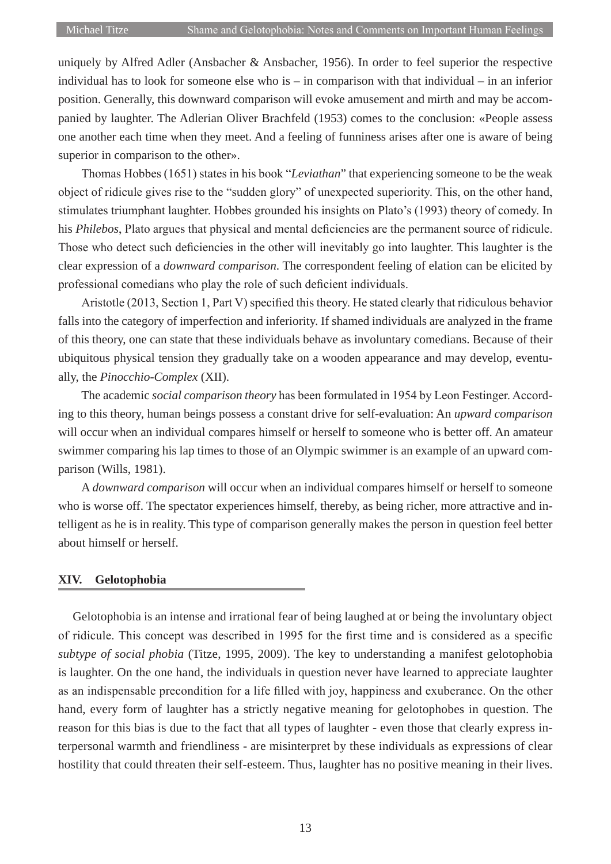uniquely by Alfred Adler (Ansbacher & Ansbacher, 1956). In order to feel superior the respective individual has to look for someone else who is – in comparison with that individual – in an inferior position. Generally, this downward comparison will evoke amusement and mirth and may be accompanied by laughter. The Adlerian Oliver Brachfeld (1953) comes to the conclusion: «People assess one another each time when they meet. And a feeling of funniness arises after one is aware of being superior in comparison to the other».

Thomas Hobbes (1651) states in his book "*Leviathan*" that experiencing someone to be the weak object of ridicule gives rise to the "sudden glory" of unexpected superiority. This, on the other hand, stimulates triumphant laughter. Hobbes grounded his insights on Plato's (1993) theory of comedy. In his *Philebos*, Plato argues that physical and mental deficiencies are the permanent source of ridicule. Those who detect such deficiencies in the other will inevitably go into laughter. This laughter is the clear expression of a *downward comparison*. The correspondent feeling of elation can be elicited by professional comedians who play the role of such deficient individuals.

Aristotle (2013, Section 1, Part V) specified this theory. He stated clearly that ridiculous behavior falls into the category of imperfection and inferiority. If shamed individuals are analyzed in the frame of this theory, one can state that these individuals behave as involuntary comedians. Because of their ubiquitous physical tension they gradually take on a wooden appearance and may develop, eventually, the *Pinocchio-Complex* (XII).

The academic *social comparison theory* has been formulated in 1954 by Leon Festinger. According to this theory, human beings possess a constant drive for self-evaluation: An *upward comparison* will occur when an individual compares himself or herself to someone who is better off. An amateur swimmer comparing his lap times to those of an Olympic swimmer is an example of an upward comparison (Wills, 1981).

A *downward comparison* will occur when an individual compares himself or herself to someone who is worse off. The spectator experiences himself, thereby, as being richer, more attractive and intelligent as he is in reality. This type of comparison generally makes the person in question feel better about himself or herself.

# **XIV. Gelotophobia**

Gelotophobia is an intense and irrational fear of being laughed at or being the involuntary object of ridicule. This concept was described in 1995 for the first time and is considered as a specific *subtype of social phobia* (Titze, 1995, 2009). The key to understanding a manifest gelotophobia is laughter. On the one hand, the individuals in question never have learned to appreciate laughter as an indispensable precondition for a life filled with joy, happiness and exuberance. On the other hand, every form of laughter has a strictly negative meaning for gelotophobes in question. The reason for this bias is due to the fact that all types of laughter - even those that clearly express interpersonal warmth and friendliness - are misinterpret by these individuals as expressions of clear hostility that could threaten their self-esteem. Thus, laughter has no positive meaning in their lives.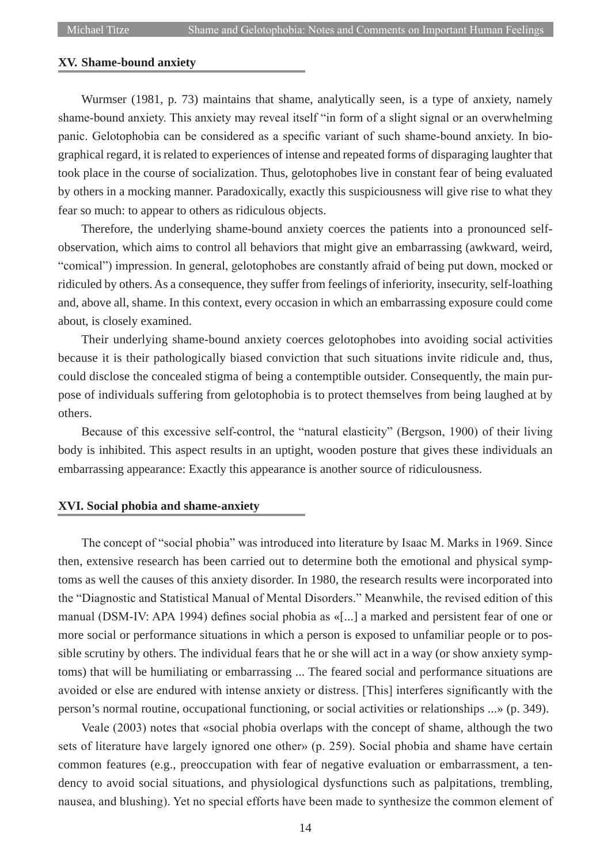## **XV. Shame-bound anxiety**

Wurmser (1981, p. 73) maintains that shame, analytically seen, is a type of anxiety, namely shame-bound anxiety. This anxiety may reveal itself "in form of a slight signal or an overwhelming panic. Gelotophobia can be considered as a specific variant of such shame-bound anxiety. In biographical regard, it is related to experiences of intense and repeated forms of disparaging laughter that took place in the course of socialization. Thus, gelotophobes live in constant fear of being evaluated by others in a mocking manner. Paradoxically, exactly this suspiciousness will give rise to what they fear so much: to appear to others as ridiculous objects.

Therefore, the underlying shame-bound anxiety coerces the patients into a pronounced selfobservation, which aims to control all behaviors that might give an embarrassing (awkward, weird, "comical") impression. In general, gelotophobes are constantly afraid of being put down, mocked or ridiculed by others. As a consequence, they suffer from feelings of inferiority, insecurity, self-loathing and, above all, shame. In this context, every occasion in which an embarrassing exposure could come about, is closely examined.

Their underlying shame-bound anxiety coerces gelotophobes into avoiding social activities because it is their pathologically biased conviction that such situations invite ridicule and, thus, could disclose the concealed stigma of being a contemptible outsider. Consequently, the main purpose of individuals suffering from gelotophobia is to protect themselves from being laughed at by others.

Because of this excessive self-control, the "natural elasticity" (Bergson, 1900) of their living body is inhibited. This aspect results in an uptight, wooden posture that gives these individuals an embarrassing appearance: Exactly this appearance is another source of ridiculousness.

### **XVI. Social phobia and shame-anxiety**

The concept of "social phobia" was introduced into literature by Isaac M. Marks in 1969. Since then, extensive research has been carried out to determine both the emotional and physical symptoms as well the causes of this anxiety disorder. In 1980, the research results were incorporated into the "Diagnostic and Statistical Manual of Mental Disorders." Meanwhile, the revised edition of this manual (DSM-IV: APA 1994) defines social phobia as «[...] a marked and persistent fear of one or more social or performance situations in which a person is exposed to unfamiliar people or to possible scrutiny by others. The individual fears that he or she will act in a way (or show anxiety symptoms) that will be humiliating or embarrassing ... The feared social and performance situations are avoided or else are endured with intense anxiety or distress. [This] interferes significantly with the person's normal routine, occupational functioning, or social activities or relationships ...» (p. 349).

Veale (2003) notes that «social phobia overlaps with the concept of shame, although the two sets of literature have largely ignored one other» (p. 259). Social phobia and shame have certain common features (e.g., preoccupation with fear of negative evaluation or embarrassment, a tendency to avoid social situations, and physiological dysfunctions such as palpitations, trembling, nausea, and blushing). Yet no special efforts have been made to synthesize the common element of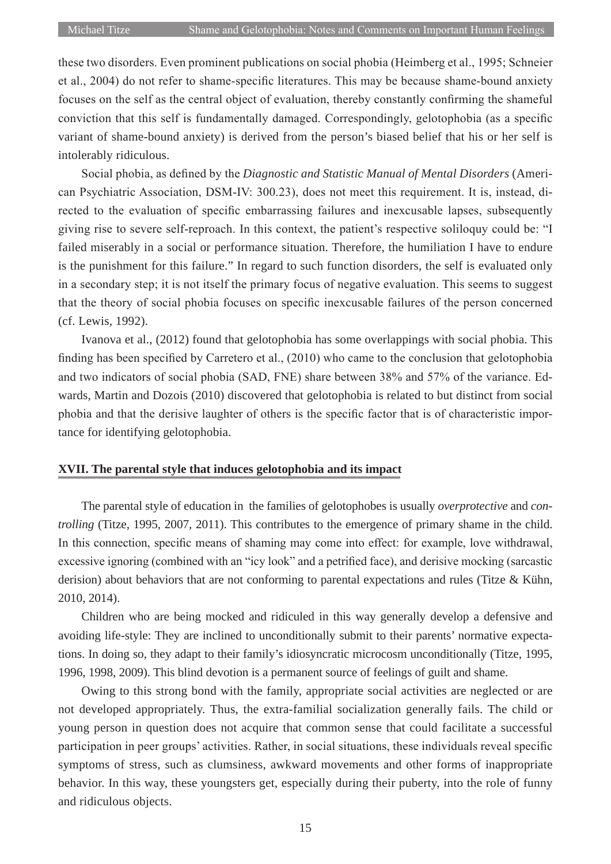these two disorders. Even prominent publications on social phobia (Heimberg et al., 1995; Schneier et al., 2004) do not refer to shame-specific literatures. This may be because shame-bound anxiety focuses on the self as the central object of evaluation, thereby constantly confirming the shameful conviction that this self is fundamentally damaged. Correspondingly, gelotophobia (as a specific variant of shame-bound anxiety) is derived from the person's biased belief that his or her self is intolerably ridiculous.

Social phobia, as defined by the *Diagnostic and Statistic Manual of Mental Disorders* (American Psychiatric Association, DSM-IV: 300.23), does not meet this requirement. It is, instead, directed to the evaluation of specific embarrassing failures and inexcusable lapses, subsequently giving rise to severe self-reproach. In this context, the patient's respective soliloquy could be: "I failed miserably in a social or performance situation. Therefore, the humiliation I have to endure is the punishment for this failure." In regard to such function disorders, the self is evaluated only in a secondary step; it is not itself the primary focus of negative evaluation. This seems to suggest that the theory of social phobia focuses on specific inexcusable failures of the person concerned (cf. Lewis, 1992).

Ivanova et al., (2012) found that gelotophobia has some overlappings with social phobia. This finding has been specified by Carretero et al., (2010) who came to the conclusion that gelotophobia and two indicators of social phobia (SAD, FNE) share between 38% and 57% of the variance. Edwards, Martin and Dozois (2010) discovered that gelotophobia is related to but distinct from social phobia and that the derisive laughter of others is the specific factor that is of characteristic importance for identifying gelotophobia.

# **XVII. The parental style that induces gelotophobia and its impact**

The parental style of education in the families of gelotophobes is usually *overprotective* and *controlling* (Titze, 1995, 2007, 2011). This contributes to the emergence of primary shame in the child. In this connection, specific means of shaming may come into effect: for example, love withdrawal, excessive ignoring (combined with an "icy look" and a petrified face), and derisive mocking (sarcastic derision) about behaviors that are not conforming to parental expectations and rules (Titze & Kühn, 2010, 2014).

Children who are being mocked and ridiculed in this way generally develop a defensive and avoiding life-style: They are inclined to unconditionally submit to their parents' normative expectations. In doing so, they adapt to their family's idiosyncratic microcosm unconditionally (Titze, 1995, 1996, 1998, 2009). This blind devotion is a permanent source of feelings of guilt and shame.

Owing to this strong bond with the family, appropriate social activities are neglected or are not developed appropriately. Thus, the extra-familial socialization generally fails. The child or young person in question does not acquire that common sense that could facilitate a successful participation in peer groups' activities. Rather, in social situations, these individuals reveal specific symptoms of stress, such as clumsiness, awkward movements and other forms of inappropriate behavior. In this way, these youngsters get, especially during their puberty, into the role of funny and ridiculous objects.

15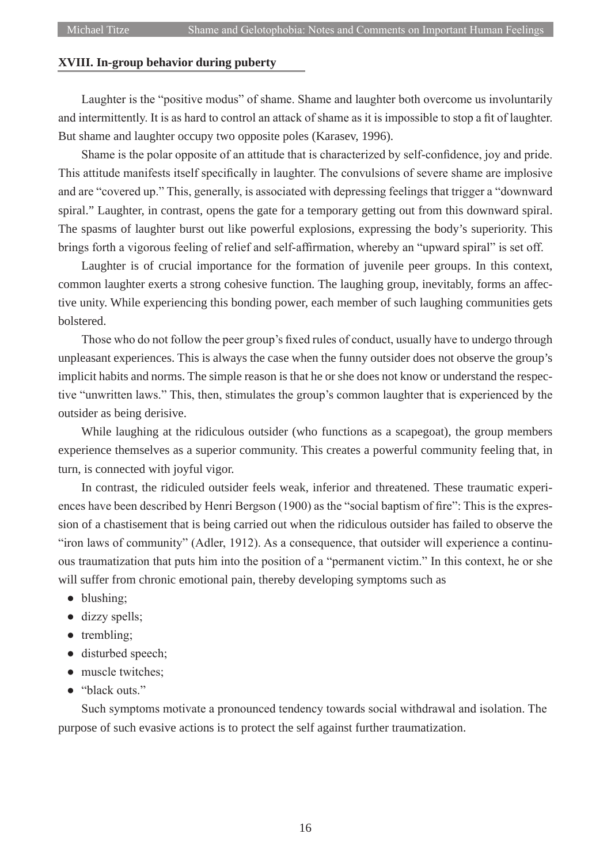# **XVIII. In-group behavior during puberty**

Laughter is the "positive modus" of shame. Shame and laughter both overcome us involuntarily and intermittently. It is as hard to control an attack of shame as it is impossible to stop a fit of laughter. But shame and laughter occupy two opposite poles (Karasev, 1996).

Shame is the polar opposite of an attitude that is characterized by self-confidence, joy and pride. This attitude manifests itself specifically in laughter. The convulsions of severe shame are implosive and are "covered up." This, generally, is associated with depressing feelings that trigger a "downward spiral." Laughter, in contrast, opens the gate for a temporary getting out from this downward spiral. The spasms of laughter burst out like powerful explosions, expressing the body's superiority. This brings forth a vigorous feeling of relief and self-affirmation, whereby an "upward spiral" is set off.

Laughter is of crucial importance for the formation of juvenile peer groups. In this context, common laughter exerts a strong cohesive function. The laughing group, inevitably, forms an affective unity. While experiencing this bonding power, each member of such laughing communities gets bolstered.

Those who do not follow the peer group's fixed rules of conduct, usually have to undergo through unpleasant experiences. This is always the case when the funny outsider does not observe the group's implicit habits and norms. The simple reason is that he or she does not know or understand the respective "unwritten laws." This, then, stimulates the group's common laughter that is experienced by the outsider as being derisive.

While laughing at the ridiculous outsider (who functions as a scapegoat), the group members experience themselves as a superior community. This creates a powerful community feeling that, in turn, is connected with joyful vigor.

In contrast, the ridiculed outsider feels weak, inferior and threatened. These traumatic experiences have been described by Henri Bergson (1900) as the "social baptism of fire": This is the expression of a chastisement that is being carried out when the ridiculous outsider has failed to observe the "iron laws of community" (Adler, 1912). As a consequence, that outsider will experience a continuous traumatization that puts him into the position of a "permanent victim." In this context, he or she will suffer from chronic emotional pain, thereby developing symptoms such as

- blushing;
- dizzy spells;
- trembling;
- disturbed speech;
- muscle twitches;
- "black outs."

Such symptoms motivate a pronounced tendency towards social withdrawal and isolation. The purpose of such evasive actions is to protect the self against further traumatization.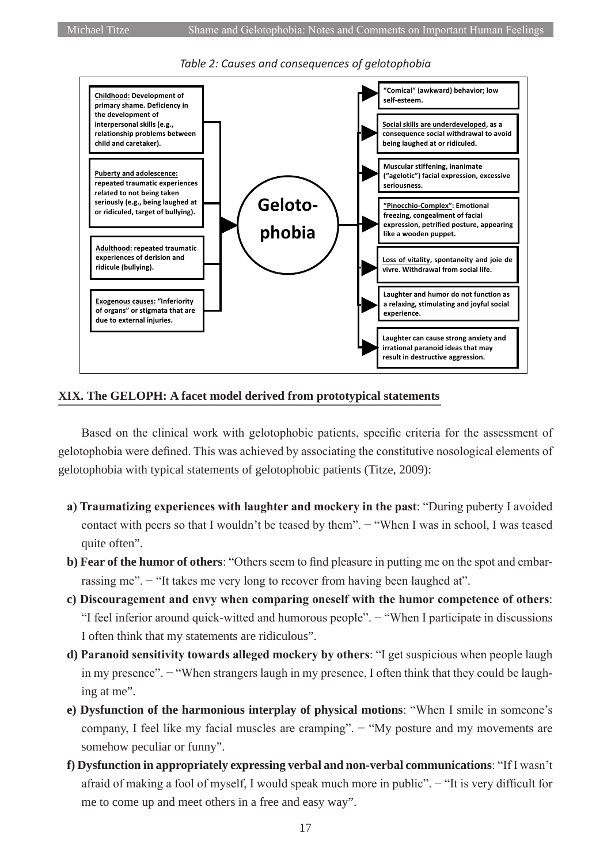

# *Table 2: Causes and consequences of gelotophobia*

# **XIX. The GELOPH: A facet model derived from prototypical statements**

Based on the clinical work with gelotophobic patients, specific criteria for the assessment of gelotophobia were defined. This was achieved by associating the constitutive nosological elements of gelotophobia with typical statements of gelotophobic patients (Titze, 2009):

- **a) Traumatizing experiences with laughter and mockery in the past**: "During puberty I avoided contact with peers so that I wouldn't be teased by them". − "When I was in school, I was teased quite often".
- **b) Fear of the humor of others**: "Others seem to find pleasure in putting me on the spot and embarrassing me". − "It takes me very long to recover from having been laughed at".
- **c) Discouragement and envy when comparing oneself with the humor competence of others**: "I feel inferior around quick-witted and humorous people". − "When I participate in discussions I often think that my statements are ridiculous".
- **d) Paranoid sensitivity towards alleged mockery by others**: "I get suspicious when people laugh in my presence". − "When strangers laugh in my presence, I often think that they could be laughing at me".
- **e) Dysfunction of the harmonious interplay of physical motions**: "When I smile in someone's company, I feel like my facial muscles are cramping". − "My posture and my movements are somehow peculiar or funny".
- **f) Dysfunction in appropriately expressing verbal and non-verbal communications**: "If I wasn't afraid of making a fool of myself, I would speak much more in public". − "It is very difficult for me to come up and meet others in a free and easy way".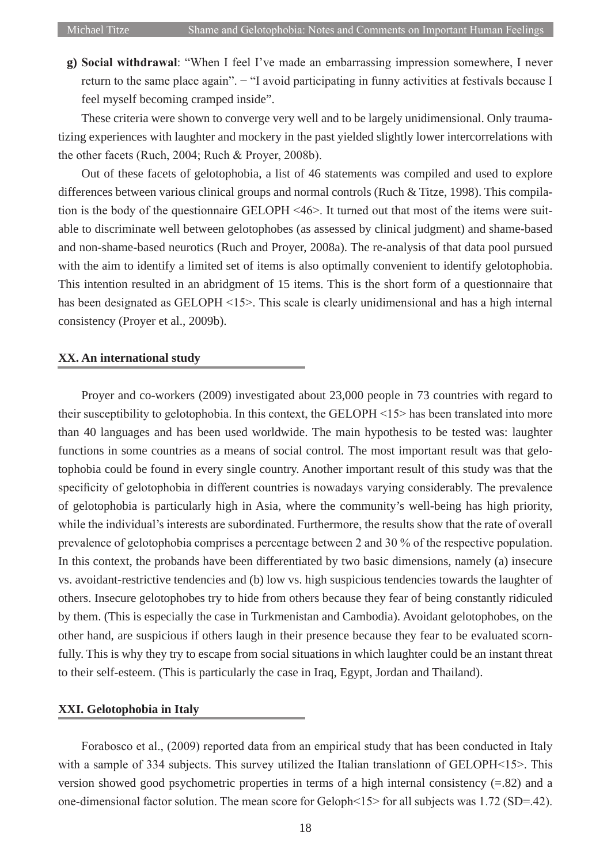**g) Social withdrawal**: "When I feel I've made an embarrassing impression somewhere, I never return to the same place again". − "I avoid participating in funny activities at festivals because I feel myself becoming cramped inside".

These criteria were shown to converge very well and to be largely unidimensional. Only traumatizing experiences with laughter and mockery in the past yielded slightly lower intercorrelations with the other facets (Ruch, 2004; Ruch & Proyer, 2008b).

Out of these facets of gelotophobia, a list of 46 statements was compiled and used to explore differences between various clinical groups and normal controls (Ruch & Titze, 1998). This compilation is the body of the questionnaire GELOPH <46>. It turned out that most of the items were suitable to discriminate well between gelotophobes (as assessed by clinical judgment) and shame-based and non-shame-based neurotics (Ruch and Proyer, 2008a). The re-analysis of that data pool pursued with the aim to identify a limited set of items is also optimally convenient to identify gelotophobia. This intention resulted in an abridgment of 15 items. This is the short form of a questionnaire that has been designated as GELOPH <15>. This scale is clearly unidimensional and has a high internal consistency (Proyer et al., 2009b).

### **XX. An international study**

Proyer and co-workers (2009) investigated about 23,000 people in 73 countries with regard to their susceptibility to gelotophobia. In this context, the GELOPH <15> has been translated into more than 40 languages and has been used worldwide. The main hypothesis to be tested was: laughter functions in some countries as a means of social control. The most important result was that gelotophobia could be found in every single country. Another important result of this study was that the specificity of gelotophobia in different countries is nowadays varying considerably. The prevalence of gelotophobia is particularly high in Asia, where the community's well-being has high priority, while the individual's interests are subordinated. Furthermore, the results show that the rate of overall prevalence of gelotophobia comprises a percentage between 2 and 30 % of the respective population. In this context, the probands have been differentiated by two basic dimensions, namely (a) insecure vs. avoidant-restrictive tendencies and (b) low vs. high suspicious tendencies towards the laughter of others. Insecure gelotophobes try to hide from others because they fear of being constantly ridiculed by them. (This is especially the case in Turkmenistan and Cambodia). Avoidant gelotophobes, on the other hand, are suspicious if others laugh in their presence because they fear to be evaluated scornfully. This is why they try to escape from social situations in which laughter could be an instant threat to their self-esteem. (This is particularly the case in Iraq, Egypt, Jordan and Thailand).

#### **XXI. Gelotophobia in Italy**

Forabosco et al., (2009) reported data from an empirical study that has been conducted in Italy with a sample of 334 subjects. This survey utilized the Italian translation of GELOPH<15>. This version showed good psychometric properties in terms of a high internal consistency (=.82) and a one-dimensional factor solution. The mean score for Geloph<15> for all subjects was 1.72 (SD=.42).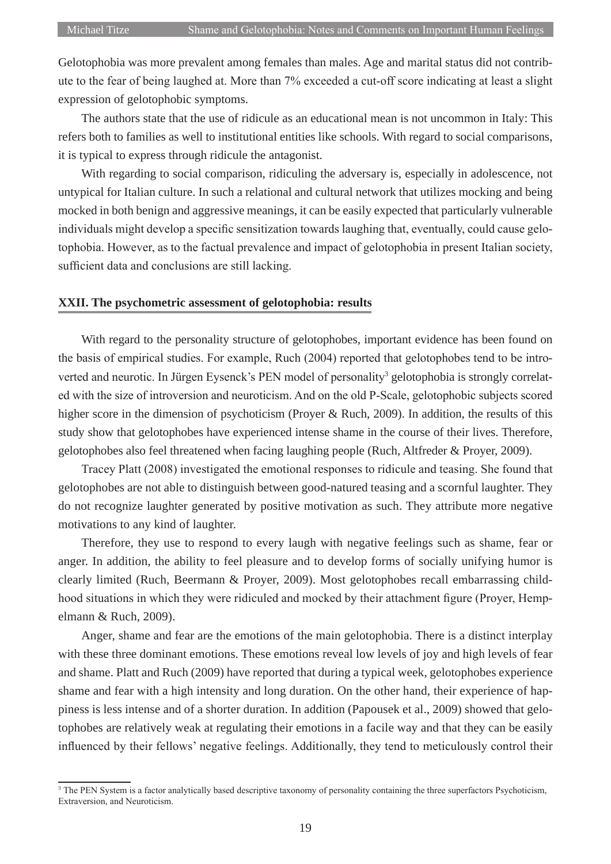Gelotophobia was more prevalent among females than males. Age and marital status did not contribute to the fear of being laughed at. More than 7% exceeded a cut-off score indicating at least a slight expression of gelotophobic symptoms.

The authors state that the use of ridicule as an educational mean is not uncommon in Italy: This refers both to families as well to institutional entities like schools. With regard to social comparisons, it is typical to express through ridicule the antagonist.

With regarding to social comparison, ridiculing the adversary is, especially in adolescence, not untypical for Italian culture. In such a relational and cultural network that utilizes mocking and being mocked in both benign and aggressive meanings, it can be easily expected that particularly vulnerable individuals might develop a specific sensitization towards laughing that, eventually, could cause gelotophobia. However, as to the factual prevalence and impact of gelotophobia in present Italian society, sufficient data and conclusions are still lacking.

#### **XXII. The psychometric assessment of gelotophobia: results**

With regard to the personality structure of gelotophobes, important evidence has been found on the basis of empirical studies. For example, Ruch (2004) reported that gelotophobes tend to be introverted and neurotic. In Jürgen Eysenck's PEN model of personality<sup>3</sup> gelotophobia is strongly correlated with the size of introversion and neuroticism. And on the old P-Scale, gelotophobic subjects scored higher score in the dimension of psychoticism (Proyer & Ruch, 2009). In addition, the results of this study show that gelotophobes have experienced intense shame in the course of their lives. Therefore, gelotophobes also feel threatened when facing laughing people (Ruch, Altfreder & Proyer, 2009).

Tracey Platt (2008) investigated the emotional responses to ridicule and teasing. She found that gelotophobes are not able to distinguish between good-natured teasing and a scornful laughter. They do not recognize laughter generated by positive motivation as such. They attribute more negative motivations to any kind of laughter.

Therefore, they use to respond to every laugh with negative feelings such as shame, fear or anger. In addition, the ability to feel pleasure and to develop forms of socially unifying humor is clearly limited (Ruch, Beermann & Proyer, 2009). Most gelotophobes recall embarrassing childhood situations in which they were ridiculed and mocked by their attachment figure (Proyer, Hempelmann & Ruch, 2009).

Anger, shame and fear are the emotions of the main gelotophobia. There is a distinct interplay with these three dominant emotions. These emotions reveal low levels of joy and high levels of fear and shame. Platt and Ruch (2009) have reported that during a typical week, gelotophobes experience shame and fear with a high intensity and long duration. On the other hand, their experience of happiness is less intense and of a shorter duration. In addition (Papousek et al., 2009) showed that gelotophobes are relatively weak at regulating their emotions in a facile way and that they can be easily influenced by their fellows' negative feelings. Additionally, they tend to meticulously control their

<sup>&</sup>lt;sup>3</sup> The PEN System is a factor analytically based descriptive taxonomy of personality containing the three superfactors Psychoticism, Extraversion, and Neuroticism.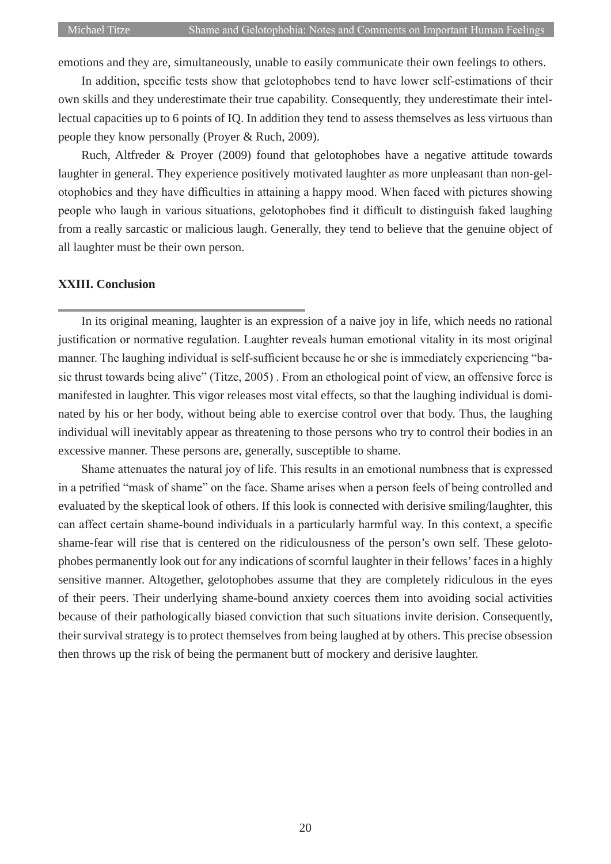emotions and they are, simultaneously, unable to easily communicate their own feelings to others.

In addition, specific tests show that gelotophobes tend to have lower self-estimations of their own skills and they underestimate their true capability. Consequently, they underestimate their intellectual capacities up to 6 points of IQ. In addition they tend to assess themselves as less virtuous than people they know personally (Proyer & Ruch, 2009).

Ruch, Altfreder & Proyer (2009) found that gelotophobes have a negative attitude towards laughter in general. They experience positively motivated laughter as more unpleasant than non-gelotophobics and they have difficulties in attaining a happy mood. When faced with pictures showing people who laugh in various situations, gelotophobes find it difficult to distinguish faked laughing from a really sarcastic or malicious laugh. Generally, they tend to believe that the genuine object of all laughter must be their own person.

#### **XXIII. Conclusion**

In its original meaning, laughter is an expression of a naive joy in life, which needs no rational justification or normative regulation. Laughter reveals human emotional vitality in its most original manner. The laughing individual is self-sufficient because he or she is immediately experiencing "basic thrust towards being alive" (Titze, 2005) . From an ethological point of view, an offensive force is manifested in laughter. This vigor releases most vital effects, so that the laughing individual is dominated by his or her body, without being able to exercise control over that body. Thus, the laughing individual will inevitably appear as threatening to those persons who try to control their bodies in an excessive manner. These persons are, generally, susceptible to shame.

Shame attenuates the natural joy of life. This results in an emotional numbness that is expressed in a petrified "mask of shame" on the face. Shame arises when a person feels of being controlled and evaluated by the skeptical look of others. If this look is connected with derisive smiling/laughter, this can affect certain shame-bound individuals in a particularly harmful way. In this context, a specific shame-fear will rise that is centered on the ridiculousness of the person's own self. These gelotophobes permanently look out for any indications of scornful laughter in their fellows' faces in a highly sensitive manner. Altogether, gelotophobes assume that they are completely ridiculous in the eyes of their peers. Their underlying shame-bound anxiety coerces them into avoiding social activities because of their pathologically biased conviction that such situations invite derision. Consequently, their survival strategy is to protect themselves from being laughed at by others. This precise obsession then throws up the risk of being the permanent butt of mockery and derisive laughter.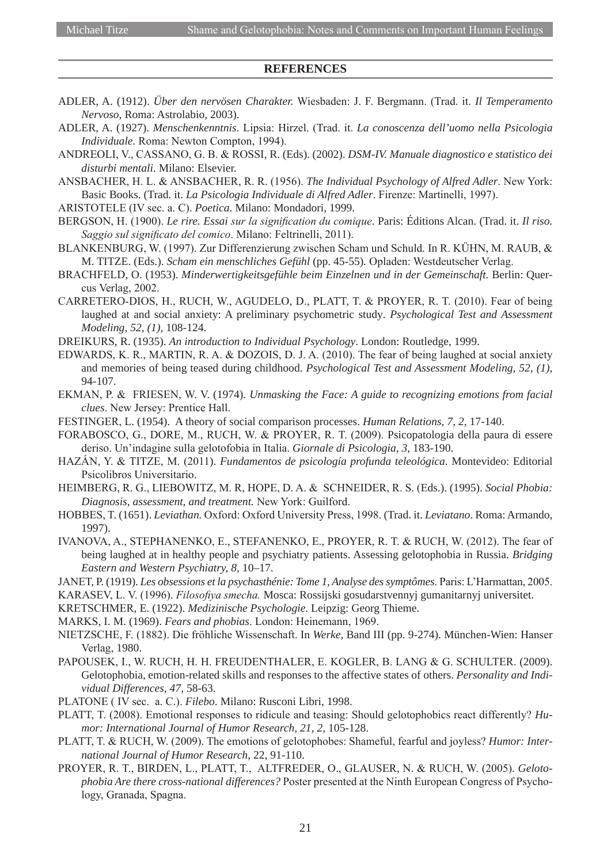#### **REFERENCES**

- ADLER, A. (1912). *Über den nervösen Charakter.* Wiesbaden: J. F. Bergmann. (Trad. it. *Il Temperamento Nervoso*, Roma: Astrolabio, 2003).
- ADLER, A. (1927). *Menschenkenntnis*. Lipsia: Hirzel. (Trad. it. *La conoscenza dell'uomo nella Psicologia Individuale.* Roma: Newton Compton, 1994).
- ANDREOLI, V., CASSANO, G. B. & ROSSI, R. (Eds). (2002). *DSM-IV. Manuale diagnostico e statistico dei disturbi mentali.* Milano: Elsevier.
- ANSBACHER, H. L. & ANSBACHER, R. R. (1956). *The Individual Psychology of Alfred Adler*. New York: Basic Books. (Trad. it. *La Psicologia Individuale di Alfred Adler*. Firenze: Martinelli, 1997).
- ARISTOTELE (IV sec. a. C). *Poetica*. Milano: Mondadori, 1999.
- BERGSON, H. (1900). *Le rire. Essai sur la signification du comique*. Paris: Éditions Alcan. (Trad. it. *Il riso. Saggio sul significato del comico*. Milano: Feltrinelli, 2011).
- BLANKENBURG, W. (1997). Zur Differenzierung zwischen Scham und Schuld*.* In R. KÜHN, M. RAUB, & M. TITZE. (Eds.). *Scham ein menschliches Gefühl* (pp. 45-55)*.* Opladen: Westdeutscher Verlag.
- BRACHFELD, O. (1953). *Minderwertigkeitsgefühle beim Einzelnen und in der Gemeinschaft.* Berlin: Quercus Verlag, 2002.
- CARRETERO-DIOS, H., RUCH, W., AGUDELO, D., PLATT, T. & PROYER, R. T. (2010). Fear of being laughed at and social anxiety: A preliminary psychometric study*. Psychological Test and Assessment Modeling, 52, (1),* 108-124.
- DREIKURS, R. (1935). *An introduction to Individual Psychology*. London: Routledge, 1999.
- EDWARDS, K. R., MARTIN, R. A. & DOZOIS, D. J. A. (2010). The fear of being laughed at social anxiety and memories of being teased during childhood. *Psychological Test and Assessment Modeling, 52, (1),* 94-107.
- EKMAN, P. & FRIESEN, W. V. (1974). *Unmasking the Face: A guide to recognizing emotions from facial clues*. New Jersey: Prentice Hall.
- FESTINGER, L. (1954). A theory of social comparison processes. *Human Relations*, *7, 2,* 17-140.
- FORABOSCO, G., DORE, M., RUCH, W. & PROYER, R. T. (2009). Psicopatologia della paura di essere deriso. Un'indagine sulla gelotofobia in Italia. *Giornale di Psicologia, 3*, 183-190.
- HAZÁN, Y. & TITZE, M. (2011). *Fundamentos de psicología profunda teleológica*. Montevideo: Editorial Psicolibros Universitario.
- HEIMBERG, R. G., LIEBOWITZ, M. R, HOPE, D. A. & SCHNEIDER, R. S. (Eds.). (1995). *Social Phobia: Diagnosis, assessment, and treatment.* New York: Guilford.
- HOBBES, T. (1651). *Leviathan.* Oxford: Oxford University Press, 1998. (Trad. it. *Leviatano*. Roma: Armando, 1997).
- IVANOVA, A., STEPHANENKO, E., STEFANENKO, E., PROYER, R. T. & RUCH, W. (2012). The fear of being laughed at in healthy people and psychiatry patients. Assessing gelotophobia in Russia. *Bridging Eastern and Western Psychiatry, 8,* 10–17.
- JANET, P. (1919). *Les obsessions et la psychasthénie: Tome 1, Analyse des symptômes*. Paris: L'Harmattan, 2005.
- KARASEV, L. V. (1996). *Filosofiya smecha.* Mosca: Rossijski gosudarstvennyj gumanitarnyj universitet.
- KRETSCHMER, E. (1922). *Medizinische Psychologie*. Leipzig: Georg Thieme.
- MARKS, I. M. (1969). *Fears and phobias*. London: Heinemann, 1969.
- NIETZSCHE, F. (1882). Die fröhliche Wissenschaft. In *Werke,* Band III (pp. 9-274). München-Wien: Hanser Verlag, 1980.
- PAPOUSEK, I., W. RUCH, H. H. FREUDENTHALER, E. KOGLER, B. LANG & G. SCHULTER. (2009). Gelotophobia, emotion-related skills and responses to the affective states of others. *Personality and Individual Differences, 47,* 58-63.
- PLATONE ( IV sec. a. C.). *Filebo*. Milano: Rusconi Libri, 1998.
- PLATT, T. (2008). Emotional responses to ridicule and teasing: Should gelotophobics react differently? *Humor: International Journal of Humor Research, 21, 2,* 105-128.
- PLATT, T. & RUCH, W. (2009). The emotions of gelotophobes: Shameful, fearful and joyless? *Humor: International Journal of Humor Research*, 22, 91-110.
- PROYER, R. T., BIRDEN, L., PLATT, T., ALTFREDER, O., GLAUSER, N. & RUCH, W. (2005). *Gelotophobia Are there cross-national differences?* Poster presented at the Ninth European Congress of Psychology, Granada, Spagna.